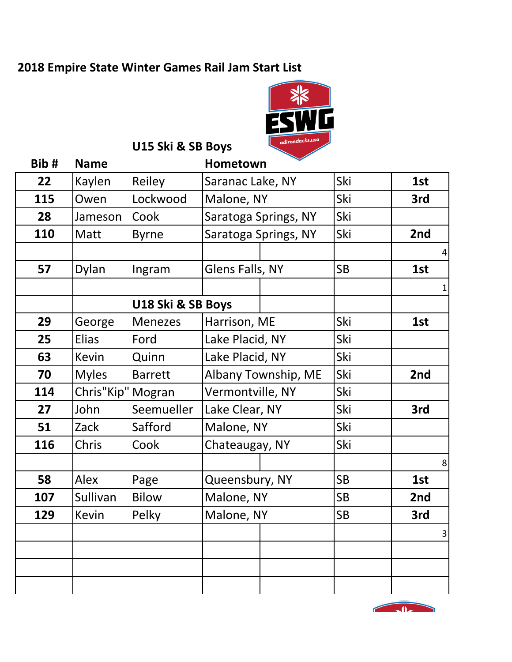### **2018 Empire State Winter Games Rail Jam Start List**



**U15 Ski & SB Boys** 

| Bib# | <b>Name</b>  | Hometown          |                      |  |           |                |
|------|--------------|-------------------|----------------------|--|-----------|----------------|
| 22   | Kaylen       | Reiley            | Saranac Lake, NY     |  | Ski       | 1st            |
| 115  | Owen         | Lockwood          | Malone, NY           |  | Ski       | 3rd            |
| 28   | Jameson      | Cook              | Saratoga Springs, NY |  | Ski       |                |
| 110  | Matt         | <b>Byrne</b>      | Saratoga Springs, NY |  | Ski       | 2nd            |
|      |              |                   |                      |  |           | 4              |
| 57   | Dylan        | Ingram            | Glens Falls, NY      |  | <b>SB</b> | 1st            |
|      |              |                   |                      |  |           | $\mathbf{1}$   |
|      |              | U18 Ski & SB Boys |                      |  |           |                |
| 29   | George       | <b>Menezes</b>    | Harrison, ME         |  | Ski       | 1st            |
| 25   | <b>Elias</b> | Ford              | Lake Placid, NY      |  | Ski       |                |
| 63   | <b>Kevin</b> | Quinn             | Lake Placid, NY      |  | Ski       |                |
| 70   | <b>Myles</b> | <b>Barrett</b>    | Albany Township, ME  |  | Ski       | 2nd            |
| 114  | Chris"Kip"   | Mogran            | Vermontville, NY     |  | Ski       |                |
| 27   | John         | Seemueller        | Lake Clear, NY       |  | Ski       | 3rd            |
| 51   | Zack         | Safford           | Malone, NY           |  | Ski       |                |
| 116  | Chris        | Cook              | Chateaugay, NY       |  | Ski       |                |
|      |              |                   |                      |  |           | 8              |
| 58   | Alex         | Page              | Queensbury, NY       |  | <b>SB</b> | 1st            |
| 107  | Sullivan     | <b>Bilow</b>      | Malone, NY           |  | <b>SB</b> | 2nd            |
| 129  | <b>Kevin</b> | Pelky             | Malone, NY           |  | <b>SB</b> | 3rd            |
|      |              |                   |                      |  |           | $\overline{3}$ |
|      |              |                   |                      |  |           |                |
|      |              |                   |                      |  |           |                |
|      |              |                   |                      |  |           |                |

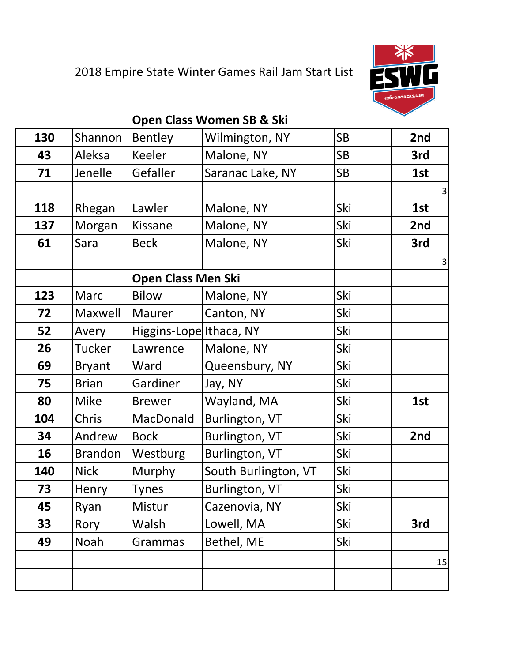# 2018 Empire State Winter Games Rail Jam Start List



#### **Open Class Women SB & Ski**

| 130 | Shannon        | Bentley                   | Wilmington, NY       |                  | <b>SB</b> | 2nd                     |
|-----|----------------|---------------------------|----------------------|------------------|-----------|-------------------------|
| 43  | Aleksa         | Keeler                    | Malone, NY           |                  | <b>SB</b> | 3rd                     |
| 71  | Jenelle        | Gefaller                  |                      | Saranac Lake, NY |           | 1st                     |
|     |                |                           |                      |                  |           | $\overline{\mathbf{3}}$ |
| 118 | Rhegan         | Lawler                    | Malone, NY           |                  | Ski       | 1st                     |
| 137 | Morgan         | Kissane                   | Malone, NY           |                  | Ski       | 2nd                     |
| 61  | Sara           | <b>Beck</b>               | Malone, NY           |                  | Ski       | 3rd                     |
|     |                |                           |                      |                  |           | $\overline{\mathbf{3}}$ |
|     |                | <b>Open Class Men Ski</b> |                      |                  |           |                         |
| 123 | Marc           | <b>Bilow</b>              | Malone, NY           |                  | Ski       |                         |
| 72  | Maxwell        | Maurer                    | Canton, NY           |                  | Ski       |                         |
| 52  | Avery          | Higgins-Lope Ithaca, NY   |                      |                  | Ski       |                         |
| 26  | <b>Tucker</b>  | Lawrence                  | Malone, NY           |                  | Ski       |                         |
| 69  | <b>Bryant</b>  | Ward                      | Queensbury, NY       |                  | Ski       |                         |
| 75  | <b>Brian</b>   | Gardiner                  | Jay, NY              |                  | Ski       |                         |
| 80  | <b>Mike</b>    | <b>Brewer</b>             | Wayland, MA          |                  | Ski       | 1st                     |
| 104 | Chris          | MacDonald                 | Burlington, VT       |                  | Ski       |                         |
| 34  | Andrew         | <b>Bock</b>               | Burlington, VT       |                  | Ski       | 2nd                     |
| 16  | <b>Brandon</b> | Westburg                  | Burlington, VT       |                  | Ski       |                         |
| 140 | <b>Nick</b>    | Murphy                    | South Burlington, VT |                  | Ski       |                         |
| 73  | Henry          | <b>Tynes</b>              | Burlington, VT       |                  | Ski       |                         |
| 45  | Ryan           | Mistur                    | Cazenovia, NY        |                  | Ski       |                         |
| 33  | Rory           | Walsh                     | Lowell, MA           |                  | Ski       | 3rd                     |
| 49  | Noah           | Grammas                   | Bethel, ME           |                  | Ski       |                         |
|     |                |                           |                      |                  |           | 15                      |
|     |                |                           |                      |                  |           |                         |
|     |                |                           |                      |                  |           |                         |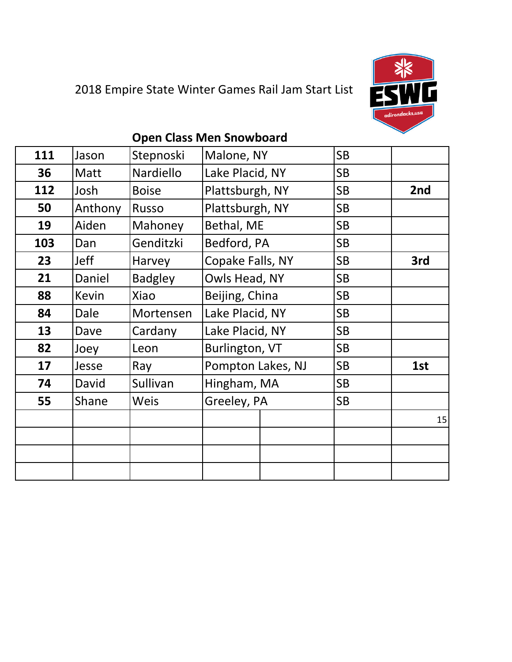

## 2018 Empire State Winter Games Rail Jam Start List

#### **Open Class Men Snowboard**

| 111 | Jason       | Stepnoski      | Malone, NY            |  | <b>SB</b> |     |
|-----|-------------|----------------|-----------------------|--|-----------|-----|
| 36  | Matt        | Nardiello      | Lake Placid, NY       |  | <b>SB</b> |     |
| 112 | Josh        | <b>Boise</b>   | Plattsburgh, NY       |  | <b>SB</b> | 2nd |
| 50  | Anthony     | <b>Russo</b>   | Plattsburgh, NY       |  | <b>SB</b> |     |
| 19  | Aiden       | Mahoney        | Bethal, ME            |  | <b>SB</b> |     |
| 103 | Dan         | Genditzki      | Bedford, PA           |  | <b>SB</b> |     |
| 23  | Jeff        | Harvey         | Copake Falls, NY      |  | <b>SB</b> | 3rd |
| 21  | Daniel      | <b>Badgley</b> | Owls Head, NY         |  | <b>SB</b> |     |
| 88  | Kevin       | Xiao           | Beijing, China        |  | <b>SB</b> |     |
| 84  | <b>Dale</b> | Mortensen      | Lake Placid, NY       |  | <b>SB</b> |     |
| 13  | Dave        | Cardany        | Lake Placid, NY       |  | <b>SB</b> |     |
| 82  | Joey        | Leon           | <b>Burlington, VT</b> |  | <b>SB</b> |     |
| 17  | Jesse       | Ray            | Pompton Lakes, NJ     |  | <b>SB</b> | 1st |
| 74  | David       | Sullivan       | Hingham, MA           |  | <b>SB</b> |     |
| 55  | Shane       | <b>Weis</b>    | Greeley, PA           |  | <b>SB</b> |     |
|     |             |                |                       |  |           | 15  |
|     |             |                |                       |  |           |     |
|     |             |                |                       |  |           |     |
|     |             |                |                       |  |           |     |